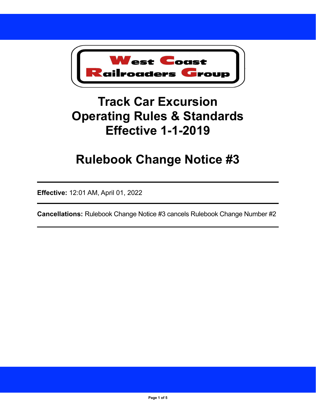

# **Track Car Excursion Operating Rules & Standards Effective 1-1-2019**

# **Rulebook Change Notice #3**

**Effective:** 12:01 AM, April 01, 2022

**Cancellations:** Rulebook Change Notice #3 cancels Rulebook Change Number #2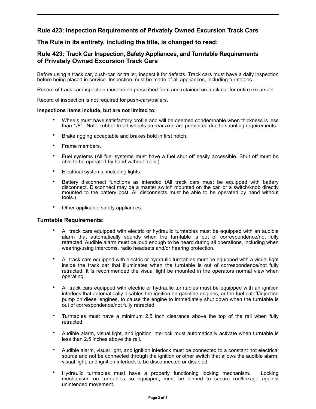# **Rule 423: Inspection Requirements of Privately Owned Excursion Track Cars**

## **The Rule in its entirety, including the title, is changed to read:**

## **Rule 423: Track Car Inspection, Safety Appliances, and Turntable Requirements of Privately Owned Excursion Track Cars**

Before using a track car, push-car, or trailer, inspect it for defects. Track cars must have a daily inspection before being placed in service. Inspection must be made of all appliances, including turntables.

Record of track car inspection must be on prescribed form and retained on track car for entire excursion.

Record of inspection is not required for push-cars/trailers.

#### **Inspections items include, but are not limited to:**

- Wheels must have satisfactory profile and will be deemed condemnable when thickness is less than 1/8". Note: rubber tread wheels on rear axle are prohibited due to shunting requirements.
- Brake rigging acceptable and brakes hold in first notch.
- Frame members.
- Fuel systems (All fuel systems must have a fuel shut off easily accessible. Shut off must be able to be operated by hand without tools.)
- Electrical systems, including lights.
- Battery disconnect functions as intended (All track cars must be equipped with battery disconnect. Disconnect may be a master switch mounted on the car, or a switch/knob directly mounted to the battery post. All disconnects must be able to be operated by hand without tools.)
- Other applicable safety appliances.

#### **Turntable Requirements:**

- All track cars equipped with electric or hydraulic turntables must be equipped with an audible alarm that automatically sounds when the turntable is out of correspondence/not fully retracted. Audible alarm must be loud enough to be heard during all operations, including when wearing/using intercoms, radio headsets and/or hearing protection.
- All track cars equipped with electric or hydraulic turntables must be equipped with a visual light inside the track car that illuminates when the turntable is out of correspondence/not fully retracted. It is recommended the visual light be mounted in the operators normal view when operating.
- All track cars equipped with electric or hydraulic turntables must be equipped with an ignition interlock that automatically disables the ignition on gasoline engines, or the fuel cutoff/injection pump on diesel engines, to cause the engine to immediately shut down when the turntable is out of correspondence/not fully retracted.
- Turntables must have a minimum 2.5 inch clearance above the top of the rail when fully retracted.
- Audible alarm, visual light, and ignition interlock must automatically activate when turntable is less than 2.5 inches above the rail.
- Audible alarm, visual light, and ignition interlock must be connected to a constant hot electrical source and not be connected through the ignition or other switch that allows the audible alarm, visual light, and ignition interlock to be disconnected or disabled.
- Hydraulic turntables must have a properly functioning locking mechanism. Locking mechanism, on turntables so equipped, must be pinned to secure rod/linkage against unintended movement.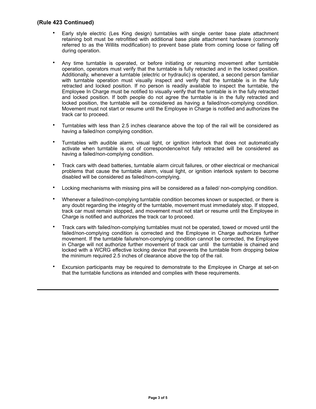#### **(Rule 423 Continued)**

- Early style electric (Les King design) turntables with single center base plate attachment retaining bolt must be retrofitted with additional base plate attachment hardware (commonly referred to as the Willits modification) to prevent base plate from coming loose or falling off during operation.
- Any time turntable is operated, or before initiating or resuming movement after turntable operation, operators must verify that the turntable is fully retracted and in the locked position. Additionally, whenever a turntable (electric or hydraulic) is operated, a second person familiar with turntable operation must visually inspect and verify that the turntable is in the fully retracted and locked position. If no person is readily available to inspect the turntable, the Employee In Charge must be notified to visually verify that the turntable is in the fully retracted and locked position. If both people do not agree the turntable is in the fully retracted and locked position, the turntable will be considered as having a failed/non-complying condition. Movement must not start or resume until the Employee in Charge is notified and authorizes the track car to proceed.
- Turntables with less than 2.5 inches clearance above the top of the rail will be considered as having a failed/non complying condition.
- Turntables with audible alarm, visual light, or ignition interlock that does not automatically activate when turntable is out of correspondence/not fully retracted will be considered as having a failed/non-complying condition.
- Track cars with dead batteries, turntable alarm circuit failures, or other electrical or mechanical problems that cause the turntable alarm, visual light, or ignition interlock system to become disabled will be considered as failed/non-complying.
- Locking mechanisms with missing pins will be considered as a failed/ non-complying condition.
- Whenever a failed/non-complying turntable condition becomes known or suspected, or there is any doubt regarding the integrity of the turntable, movement must immediately stop. If stopped, track car must remain stopped, and movement must not start or resume until the Employee in Charge is notified and authorizes the track car to proceed.
- Track cars with failed/non-complying turntables must not be operated, towed or moved until the failed/non-complying condition is corrected and the Employee in Charge authorizes further movement. If the turntable failure/non-complying condition cannot be corrected, the Employee in Charge will not authorize further movement of track car until the turntable is chained and locked with a WCRG effective locking device that prevents the turntable from dropping below the minimum required 2.5 inches of clearance above the top of the rail.
- Excursion participants may be required to demonstrate to the Employee in Charge at set-on that the turntable functions as intended and complies with these requirements.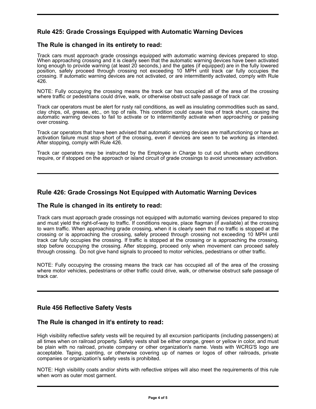# **Rule 425: Grade Crossings Equipped with Automatic Warning Devices**

# **The Rule is changed in its entirety to read:**

Track cars must approach grade crossings equipped with automatic warning devices prepared to stop. When approaching crossing and it is clearly seen that the automatic warning devices have been activated long enough to provide warning (at least 20 seconds,) and the gates (if equipped) are in the fully lowered position, safely proceed through crossing not exceeding 10 MPH until track car fully occupies the crossing. If automatic warning devices are not activated, or are intermittently activated, comply with Rule 426.

NOTE: Fully occupying the crossing means the track car has occupied all of the area of the crossing where traffic or pedestrians could drive, walk, or otherwise obstruct safe passage of track car.

Track car operators must be alert for rusty rail conditions, as well as insulating commodities such as sand, clay chips, oil, grease, etc., on top of rails. This condition could cause loss of track shunt, causing the automatic warning devices to fail to activate or to intermittently activate when approaching or passing over crossing.

Track car operators that have been advised that automatic warning devices are malfunctioning or have an activation failure must stop short of the crossing, even if devices are seen to be working as intended. After stopping, comply with Rule 426.

Track car operators may be instructed by the Employee in Charge to cut out shunts when conditions require, or if stopped on the approach or island circuit of grade crossings to avoid unnecessary activation.

## **Rule 426: Grade Crossings Not Equipped with Automatic Warning Devices**

#### **The Rule is changed in its entirety to read:**

Track cars must approach grade crossings not equipped with automatic warning devices prepared to stop and must yield the right-of-way to traffic. If conditions require, place flagman (if available) at the crossing to warn traffic. When approaching grade crossing, when it is clearly seen that no traffic is stopped at the crossing or is approaching the crossing, safely proceed through crossing not exceeding 10 MPH until track car fully occupies the crossing. If traffic is stopped at the crossing or is approaching the crossing, stop before occupying the crossing. After stopping, proceed only when movement can proceed safely through crossing. Do not give hand signals to proceed to motor vehicles, pedestrians or other traffic.

NOTE: Fully occupying the crossing means the track car has occupied all of the area of the crossing where motor vehicles, pedestrians or other traffic could drive, walk, or otherwise obstruct safe passage of track car.

## **Rule 456 Reflective Safety Vests**

## **The Rule is changed in it's entirety to read:**

High visibility reflective safety vests will be required by all excursion participants (including passengers) at all times when on railroad property. Safety vests shall be either orange, green or yellow in color, and must be plain with no railroad, private company or other organization's name. Vests with WCRG'S logo are acceptable. Taping, painting, or otherwise covering up of names or logos of other railroads, private companies or organization's safety vests is prohibited.

NOTE: High visibility coats and/or shirts with reflective stripes will also meet the requirements of this rule when worn as outer most garment.